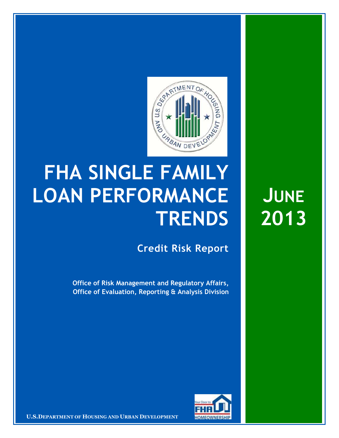

## **FHA SINGLE FAMILY LOAN PERFORMANCE TRENDS**

**Credit Risk Report**

**Office of Risk Management and Regulatory Affairs, Office of Evaluation, Reporting & Analysis Division**



**U.S.DEPARTMENT OF HOUSING AND URBAN DEVELOPMENT FOM FOWNERSHIP** 

**JUNE 2013**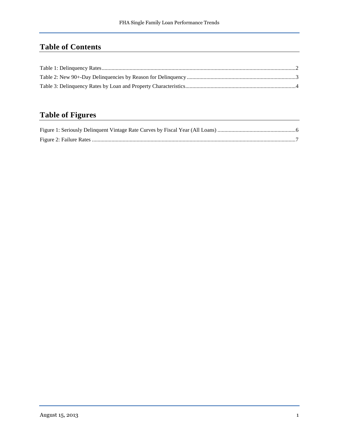## **Table of Contents**

## **Table of Figures**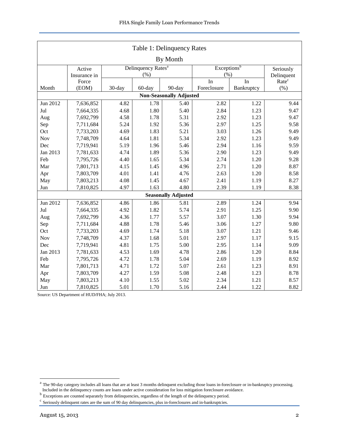<span id="page-2-0"></span>

| Table 1: Delinquency Rates             |                                                                     |        |        |                            |             |                   |      |  |  |  |  |
|----------------------------------------|---------------------------------------------------------------------|--------|--------|----------------------------|-------------|-------------------|------|--|--|--|--|
| By Month                               |                                                                     |        |        |                            |             |                   |      |  |  |  |  |
|                                        | Exceptions <sup>b</sup><br>Delinquency Rates <sup>a</sup><br>Active |        |        |                            |             |                   |      |  |  |  |  |
|                                        | Insurance in                                                        |        | (% )   |                            | (% )        | Delinquent        |      |  |  |  |  |
|                                        | Force                                                               |        |        |                            | In          | Rate <sup>c</sup> |      |  |  |  |  |
| Month                                  | (EOM)                                                               | 30-day | 60-day | 90-day                     | Foreclosure | $(\% )$           |      |  |  |  |  |
| <b>Non-Seasonally Adjusted</b><br>9.44 |                                                                     |        |        |                            |             |                   |      |  |  |  |  |
| Jun 2012                               | 4.82<br>1.78<br>2.82<br>1.22<br>7,636,852<br>5.40                   |        |        |                            |             |                   |      |  |  |  |  |
| Jul                                    | 7,664,335                                                           | 4.68   | 1.80   | 5.40                       | 2.84        | 1.23              | 9.47 |  |  |  |  |
| Aug                                    | 7,692,799                                                           | 4.58   | 1.78   | 5.31                       | 2.92        | 1.23              | 9.47 |  |  |  |  |
| Sep                                    | 7,711,684                                                           | 5.24   | 1.92   | 5.36                       | 2.97        | 1.25              | 9.58 |  |  |  |  |
| Oct                                    | 7,733,203                                                           | 4.69   | 1.83   | 5.21                       | 3.03        | 1.26              | 9.49 |  |  |  |  |
| Nov                                    | 7,748,709                                                           | 4.64   | 1.81   | 5.34                       | 2.92        | 1.23              | 9.49 |  |  |  |  |
| Dec                                    | 7,719,941                                                           | 5.19   | 1.96   | 5.46                       | 2.94        | 1.16              | 9.59 |  |  |  |  |
| Jan 2013                               | 7,781,633                                                           | 4.74   | 1.89   | 5.36                       | 2.90        | 1.23              | 9.49 |  |  |  |  |
| Feb                                    | 7,795,726                                                           | 4.40   | 1.65   | 5.34                       | 2.74        | 1.20              | 9.28 |  |  |  |  |
| Mar                                    | 7,801,713                                                           | 4.15   | 1.45   | 4.96                       | 2.71        | 1.20              | 8.87 |  |  |  |  |
| Apr                                    | 7,803,709                                                           | 4.01   | 1.41   | 4.76                       | 2.63        | 1.20              | 8.58 |  |  |  |  |
| May                                    | 7,803,213                                                           | 4.08   | 1.45   | 4.67                       | 2.41        | 1.19              | 8.27 |  |  |  |  |
| Jun                                    | 7,810,825                                                           | 4.97   | 1.63   | 4.80                       | 2.39        | 1.19              | 8.38 |  |  |  |  |
|                                        |                                                                     |        |        | <b>Seasonally Adjusted</b> |             |                   |      |  |  |  |  |
| Jun 2012                               | 7,636,852                                                           | 4.86   | 1.86   | 5.81                       | 2.89        | 1.24              | 9.94 |  |  |  |  |
| Jul                                    | 7,664,335                                                           | 4.92   | 1.82   | 5.74                       | 2.91        | 1.25              | 9.90 |  |  |  |  |
| Aug                                    | 7,692,799                                                           | 4.36   | 1.77   | 5.57                       | 3.07        | 1.30              | 9.94 |  |  |  |  |
| Sep                                    | 7,711,684                                                           | 4.88   | 1.78   | 5.46                       | 3.06        | 1.27              | 9.80 |  |  |  |  |
| Oct                                    | 7,733,203                                                           | 4.69   | 1.74   | 5.18                       | 3.07        | 1.21              | 9.46 |  |  |  |  |
| Nov                                    | 7,748,709                                                           | 4.37   | 1.68   | 5.01                       | 2.97        | 1.17              | 9.15 |  |  |  |  |
| Dec                                    | 7,719,941                                                           | 4.81   | 1.75   | 5.00                       | 2.95        | 1.14              | 9.09 |  |  |  |  |
| Jan 2013                               | 7,781,633                                                           | 4.53   | 1.69   | 4.78                       | 2.86        | 1.20              | 8.84 |  |  |  |  |
| Feb                                    | 7,795,726                                                           | 4.72   | 1.78   | 5.04                       | 2.69        | 1.19              | 8.92 |  |  |  |  |
| Mar                                    | 7,801,713                                                           | 4.71   | 1.72   | 5.07                       | 2.61        | 1.23              | 8.91 |  |  |  |  |
| Apr                                    | 7,803,709                                                           | 4.27   | 1.59   | 5.08                       | 2.48        | 1.23              | 8.78 |  |  |  |  |
| May                                    | 7,803,213                                                           | 4.10   | 1.55   | 5.02                       | 2.34        | 1.21              | 8.57 |  |  |  |  |
| Jun                                    | 7,810,825                                                           | 5.01   | 1.70   | 5.16                       | 2.44        | 1.22              | 8.82 |  |  |  |  |

<span id="page-2-1"></span><sup>&</sup>lt;sup>a</sup> The 90-day category includes all loans that are at least 3 months delinquent excluding those loans in-foreclosure or in-bankruptcy processing. Included in the delinquency counts are loans under active consideration for loss mitigation foreclosure avoidance.<br><sup>b</sup> Exceptions are counted separately from delinquencies, regardless of the length of the delinquency perio

<span id="page-2-3"></span><span id="page-2-2"></span>

<sup>&</sup>lt;sup>c</sup> Seriously delinquent rates are the sum of 90 day delinquencies, plus in-foreclosures and in-bankruptcies.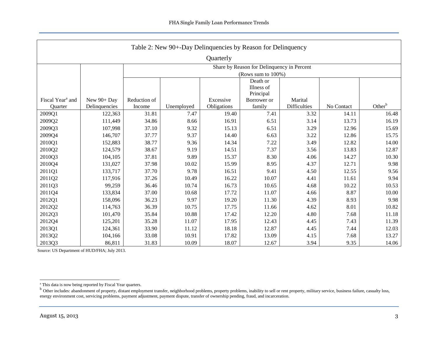<span id="page-3-0"></span>

| Table 2: New 90+-Day Delinquencies by Reason for Delinquency |                                            |                        |                    |                          |                       |                                |            |                    |  |  |  |  |
|--------------------------------------------------------------|--------------------------------------------|------------------------|--------------------|--------------------------|-----------------------|--------------------------------|------------|--------------------|--|--|--|--|
| Quarterly                                                    |                                            |                        |                    |                          |                       |                                |            |                    |  |  |  |  |
|                                                              | Share by Reason for Delinquency in Percent |                        |                    |                          |                       |                                |            |                    |  |  |  |  |
|                                                              |                                            |                        | (Rows sum to 100%) |                          |                       |                                |            |                    |  |  |  |  |
|                                                              |                                            |                        | Death or           |                          |                       |                                |            |                    |  |  |  |  |
|                                                              |                                            |                        | Illness of         |                          |                       |                                |            |                    |  |  |  |  |
| Fiscal Year <sup>a</sup> and                                 | New 90+ Day                                |                        |                    |                          | Principal             |                                |            |                    |  |  |  |  |
| Quarter                                                      | Delinquencies                              | Reduction of<br>Income | Unemployed         | Excessive<br>Obligations | Borrower or<br>family | Marital<br><b>Difficulties</b> | No Contact | Other <sup>b</sup> |  |  |  |  |
| 2009Q1                                                       | 122,363                                    | 31.81                  | 7.47               | 19.40                    | 7.41                  | 3.32                           | 14.11      | 16.48              |  |  |  |  |
| 2009Q2                                                       | 111,449                                    | 34.86                  | 8.66               | 16.91                    | 6.51                  | 3.14                           | 13.73      | 16.19              |  |  |  |  |
| 2009Q3                                                       | 107,998                                    | 37.10                  | 9.32               | 15.13                    | 6.51                  | 3.29                           | 12.96      | 15.69              |  |  |  |  |
| 2009Q4                                                       | 146,707                                    | 37.77                  | 9.37               | 14.40                    | 6.63                  | 3.22                           | 12.86      | 15.75              |  |  |  |  |
| 2010Q1                                                       | 152,883                                    | 38.77                  | 9.36               | 14.34                    | 7.22                  | 3.49                           | 12.82      | 14.00              |  |  |  |  |
| 2010Q2                                                       | 124,579                                    | 38.67                  | 9.19               | 14.51                    | 7.37                  | 3.56                           | 13.83      | 12.87              |  |  |  |  |
| 2010Q3                                                       | 104,105                                    | 37.81                  | 9.89               | 15.37                    | 8.30                  | 4.06                           | 14.27      | 10.30              |  |  |  |  |
| 2010Q4                                                       | 131,027                                    | 37.98                  | 10.02              | 15.99                    | 8.95                  | 4.37                           | 12.71      | 9.98               |  |  |  |  |
| 2011Q1                                                       | 133,717                                    | 37.70                  | 9.78               | 16.51                    | 9.41                  | 4.50                           | 12.55      | 9.56               |  |  |  |  |
| 2011Q2                                                       | 117,916                                    | 37.26                  | 10.49              | 16.22                    | 10.07                 | 4.41                           | 11.61      | 9.94               |  |  |  |  |
| 2011Q3                                                       | 99,259                                     | 36.46                  | 10.74              | 16.73                    | 10.65                 | 4.68                           | 10.22      | 10.53              |  |  |  |  |
| 2011Q4                                                       | 133,834                                    | 37.00                  | 10.68              | 17.72                    | 11.07                 | 4.66                           | 8.87       | 10.00              |  |  |  |  |
| 2012Q1                                                       | 158,096                                    | 36.23                  | 9.97               | 19.20                    | 11.30                 | 4.39                           | 8.93       | 9.98               |  |  |  |  |
| 2012Q2                                                       | 114,763                                    | 36.39                  | 10.75              | 17.75                    | 11.66                 | 4.62                           | 8.01       | 10.82              |  |  |  |  |
| 2012Q3                                                       | 101,470                                    | 35.84                  | 10.88              | 17.42                    | 12.20                 | 4.80                           | 7.68       | 11.18              |  |  |  |  |
| 2012Q4                                                       | 125,201                                    | 35.28                  | 11.07              | 17.95                    | 12.43                 | 4.45                           | 7.43       | 11.39              |  |  |  |  |
| 2013Q1                                                       | 124,361                                    | 33.90                  | 11.12              | 18.18                    | 12.87                 | 4.45                           | 7.44       | 12.03              |  |  |  |  |
| 2013Q2                                                       | 104,166                                    | 33.08                  | 10.91              | 17.82                    | 13.09                 | 4.15                           | 7.68       | 13.27              |  |  |  |  |
| 2013Q3                                                       | 86,811                                     | 31.83                  | 10.09              | 18.07                    | 12.67                 | 3.94                           | 9.35       | 14.06              |  |  |  |  |

a This data is now being reported by Fiscal Year quarters.<br><sup>b</sup> Other includes: abandonment of property, distant employment transfer, neighborhood problems, property problems, inability to sell or rent property, military se energy environment cost, servicing problems, payment adjustment, payment dispute, transfer of ownership pending, fraud, and incarceration.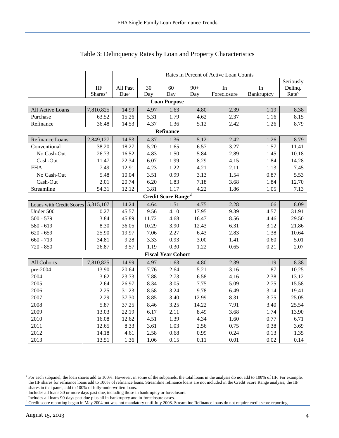<span id="page-4-0"></span>

| Table 3: Delinquency Rates by Loan and Property Characteristics |                                   |                                        |              |                                            |              |                   |                  |                              |  |  |
|-----------------------------------------------------------------|-----------------------------------|----------------------------------------|--------------|--------------------------------------------|--------------|-------------------|------------------|------------------------------|--|--|
|                                                                 |                                   |                                        |              |                                            |              |                   |                  |                              |  |  |
|                                                                 |                                   | Rates in Percent of Active Loan Counts |              |                                            |              |                   |                  |                              |  |  |
|                                                                 |                                   |                                        |              |                                            |              |                   |                  | Seriously                    |  |  |
|                                                                 | <b>IIF</b><br>Shares <sup>a</sup> | All Past<br>Due <sup>b</sup>           | 30<br>Day    | 60<br>Day                                  | $90+$<br>Day | In<br>Foreclosure | In<br>Bankruptcy | Delinq.<br>Rate <sup>c</sup> |  |  |
| <b>Loan Purpose</b>                                             |                                   |                                        |              |                                            |              |                   |                  |                              |  |  |
|                                                                 |                                   |                                        |              | 1.63                                       |              | 2.39              |                  |                              |  |  |
| All Active Loans<br>Purchase                                    | 7,810,825<br>63.52                | 14.99<br>15.26                         | 4.97<br>5.31 | 1.79                                       | 4.80<br>4.62 | 2.37              | 1.19<br>1.16     | 8.38<br>8.15                 |  |  |
| Refinance                                                       | 36.48                             | 14.53                                  | 4.37         | 1.36                                       | 5.12         | 2.42              | 1.26             | 8.79                         |  |  |
|                                                                 |                                   |                                        |              |                                            |              |                   |                  |                              |  |  |
| Refinance                                                       |                                   |                                        |              |                                            |              |                   |                  |                              |  |  |
| Refinance Loans<br>Conventional                                 | 2,849,127<br>38.20                | 14.53<br>18.27                         | 4.37<br>5.20 | 1.36<br>1.65                               | 5.12<br>6.57 | 2.42<br>3.27      | 1.26<br>1.57     | 8.79<br>11.41                |  |  |
| No Cash-Out                                                     | 26.73                             | 16.52                                  | 4.83         | 1.50                                       | 5.84         | 2.89              | 1.45             | 10.18                        |  |  |
| Cash-Out                                                        | 11.47                             | 22.34                                  | 6.07         | 1.99                                       | 8.29         | 4.15              | 1.84             | 14.28                        |  |  |
| <b>FHA</b>                                                      | 7.49                              | 12.91                                  | 4.23         | 1.22                                       | 4.21         | 2.11              | 1.13             | 7.45                         |  |  |
| No Cash-Out                                                     | 5.48                              | 10.04                                  | 3.51         | 0.99                                       | 3.13         | 1.54              | 0.87             | 5.53                         |  |  |
| Cash-Out                                                        | 2.01                              | 20.74                                  | 6.20         | 1.83                                       | 7.18         | 3.68              | 1.84             | 12.70                        |  |  |
| Streamline                                                      | 54.31                             | 12.12                                  | 3.81         | 1.17                                       | 4.22         | 1.86              | 1.05             | 7.13                         |  |  |
|                                                                 |                                   |                                        |              | Credit Score $\mathbf{Range}^{\mathbf{d}}$ |              |                   |                  |                              |  |  |
| Loans with Credit Scores 5,315,107                              |                                   | 14.24                                  | 4.64         | 1.51                                       | 4.75         | 2.28              | 1.06             | 8.09                         |  |  |
| Under 500                                                       | 0.27                              | 45.57                                  | 9.56         | 4.10                                       | 17.95        | 9.39              | 4.57             | 31.91                        |  |  |
| $500 - 579$                                                     | 3.84                              | 45.89                                  | 11.72        | 4.68                                       | 16.47        | 8.56              | 4.46             | 29.50                        |  |  |
| 580 - 619                                                       | 8.30                              | 36.05                                  | 10.29        | 3.90                                       | 12.43        | 6.31              | 3.12             | 21.86                        |  |  |
| $620 - 659$                                                     | 25.90                             | 19.97                                  | 7.06         | 2.27                                       | 6.43         | 2.83              | 1.38             | 10.64                        |  |  |
| $660 - 719$                                                     | 34.81                             | 9.28                                   | 3.33         | 0.93                                       | 3.00         | 1.41              | 0.60             | 5.01                         |  |  |
| 720 - 850                                                       | 26.87                             | 3.57                                   | 1.19         | 0.30                                       | 1.22         | 0.65              | 0.21             | 2.07                         |  |  |
|                                                                 |                                   |                                        |              | <b>Fiscal Year Cohort</b>                  |              |                   |                  |                              |  |  |
| All Cohorts                                                     | 7,810,825                         | 14.99                                  | 4.97         | 1.63                                       | 4.80         | 2.39              | 1.19             | 8.38                         |  |  |
| pre-2004                                                        | 13.90                             | 20.64                                  | 7.76         | 2.64                                       | 5.21         | 3.16              | 1.87             | 10.25                        |  |  |
| 2004                                                            | 3.62                              | 23.73                                  | 7.88         | 2.73                                       | 6.58         | 4.16              | 2.38             | 13.12                        |  |  |
| 2005                                                            | 2.64                              | 26.97                                  | 8.34         | 3.05                                       | 7.75         | 5.09              | 2.75             | 15.58                        |  |  |
| 2006                                                            | 2.25                              | 31.23                                  | 8.58         | 3.24                                       | 9.78         | 6.49              | 3.14             | 19.41                        |  |  |
| 2007                                                            | 2.29                              | 37.30                                  | 8.85         | 3.40                                       | 12.99        | 8.31              | 3.75             | 25.05                        |  |  |
| 2008                                                            | 5.87                              | 37.25                                  | 8.46         | 3.25                                       | 14.22        | 7.91              | 3.40             | 25.54                        |  |  |
| 2009                                                            | 13.03                             | 22.19                                  | 6.17         | 2.11                                       | 8.49         | 3.68              | 1.74             | 13.90                        |  |  |
| 2010                                                            | 16.08                             | 12.62                                  | 4.51         | 1.39                                       | 4.34         | 1.60              | 0.77             | 6.71                         |  |  |
| 2011                                                            | 12.65                             | 8.33                                   | 3.61         | 1.03                                       | 2.56         | 0.75              | 0.38             | 3.69                         |  |  |
| 2012                                                            | 14.18                             | 4.61                                   | 2.58         | 0.68                                       | 0.99         | 0.24              | 0.13             | 1.35                         |  |  |
| 2013                                                            | 13.51                             | 1.36                                   | 1.06         | 0.15                                       | 0.11         | 0.01              | 0.02             | 0.14                         |  |  |

Г

<span id="page-4-1"></span><sup>&</sup>lt;sup>a</sup> For each subpanel, the loan shares add to 100%. However, in some of the subpanels, the total loans in the analysis do not add to 100% of IIF. For example, the IIF shares for refinance loans add to 100% of refinance loans. Streamline refinance loans are not included in the Credit Score Range analysis; the IIF shares in that panel, add to 100% of fully-underwritten loans.

<span id="page-4-3"></span><span id="page-4-2"></span><sup>&</sup>lt;sup>b</sup> Includes all loans 30 or more days past due, including those in bankruptcy or foreclosure.

<span id="page-4-4"></span>c Includes all loans 90-days past due plus all in-bankruptcy and in-foreclosure cases.

<sup>&</sup>lt;sup>d</sup> Credit score reporting began in May 2004 but was not mandatory until July 2008. Streamline Refinance loans do not require credit score reporting.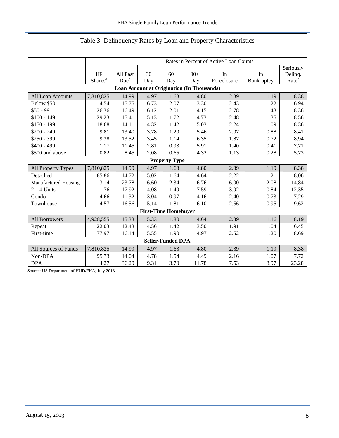| Table 3: Delinquency Rates by Loan and Property Characteristics |                                                  |                  |      |                      |       |             |            |                   |  |  |
|-----------------------------------------------------------------|--------------------------------------------------|------------------|------|----------------------|-------|-------------|------------|-------------------|--|--|
| Rates in Percent of Active Loan Counts                          |                                                  |                  |      |                      |       |             |            |                   |  |  |
|                                                                 |                                                  |                  |      |                      |       |             |            | Seriously         |  |  |
|                                                                 | <b>IIF</b>                                       | All Past         | 30   | 60                   | $90+$ | In          | In         | Delinq.           |  |  |
|                                                                 | Shares <sup>a</sup>                              | Due <sup>b</sup> | Day  | Day                  | Day   | Foreclosure | Bankruptcy | Rate <sup>c</sup> |  |  |
|                                                                 | <b>Loan Amount at Origination (In Thousands)</b> |                  |      |                      |       |             |            |                   |  |  |
| All Loan Amounts                                                | 7,810,825                                        | 14.99            | 4.97 | 1.63                 | 4.80  | 2.39        | 1.19       | 8.38              |  |  |
| Below \$50                                                      | 4.54                                             | 15.75            | 6.73 | 2.07                 | 3.30  | 2.43        | 1.22       | 6.94              |  |  |
| $$50 - 99$                                                      | 26.36                                            | 16.49            | 6.12 | 2.01                 | 4.15  | 2.78        | 1.43       | 8.36              |  |  |
| $$100 - 149$                                                    | 29.23                                            | 15.41            | 5.13 | 1.72                 | 4.73  | 2.48        | 1.35       | 8.56              |  |  |
| $$150 - 199$                                                    | 18.68                                            | 14.11            | 4.32 | 1.42                 | 5.03  | 2.24        | 1.09       | 8.36              |  |  |
| $$200 - 249$                                                    | 9.81                                             | 13.40            | 3.78 | 1.20                 | 5.46  | 2.07        | 0.88       | 8.41              |  |  |
| $$250 - 399$                                                    | 9.38                                             | 13.52            | 3.45 | 1.14                 | 6.35  | 1.87        | 0.72       | 8.94              |  |  |
| $$400 - 499$                                                    | 1.17                                             | 11.45            | 2.81 | 0.93                 | 5.91  | 1.40        | 0.41       | 7.71              |  |  |
| \$500 and above                                                 | 0.82                                             | 8.45             | 2.08 | 0.65                 | 4.32  | 1.13        | 0.28       | 5.73              |  |  |
|                                                                 |                                                  |                  |      | <b>Property Type</b> |       |             |            |                   |  |  |
| All Property Types                                              | 7,810,825                                        | 14.99            | 4.97 | 1.63                 | 4.80  | 2.39        | 1.19       | 8.38              |  |  |
| Detached                                                        | 85.86                                            | 14.72            | 5.02 | 1.64                 | 4.64  | 2.22        | 1.21       | 8.06              |  |  |
| Manufactured Housing                                            | 3.14                                             | 23.78            | 6.60 | 2.34                 | 6.76  | 6.00        | 2.08       | 14.84             |  |  |
| $2 - 4$ Units                                                   | 1.76                                             | 17.92            | 4.08 | 1.49                 | 7.59  | 3.92        | 0.84       | 12.35             |  |  |
| Condo                                                           | 4.66                                             | 11.32            | 3.04 | 0.97                 | 4.16  | 2.40        | 0.73       | 7.29              |  |  |
| Townhouse                                                       | 4.57                                             | 16.56            | 5.14 | 1.81                 | 6.10  | 2.56        | 0.95       | 9.62              |  |  |
|                                                                 | <b>First-Time Homebuyer</b>                      |                  |      |                      |       |             |            |                   |  |  |
| <b>All Borrowers</b>                                            | 4,928,555                                        | 15.33            | 5.33 | 1.80                 | 4.64  | 2.39        | 1.16       | 8.19              |  |  |
| Repeat                                                          | 22.03                                            | 12.43            | 4.56 | 1.42                 | 3.50  | 1.91        | 1.04       | 6.45              |  |  |
| First-time                                                      | 77.97                                            | 16.14            | 5.55 | 1.90                 | 4.97  | 2.52        | 1.20       | 8.69              |  |  |
| <b>Seller-Funded DPA</b>                                        |                                                  |                  |      |                      |       |             |            |                   |  |  |
| All Sources of Funds                                            | 7,810,825                                        | 14.99            | 4.97 | 1.63                 | 4.80  | 2.39        | 1.19       | 8.38              |  |  |
| Non-DPA                                                         | 95.73                                            | 14.04            | 4.78 | 1.54                 | 4.49  | 2.16        | 1.07       | 7.72              |  |  |
| <b>DPA</b>                                                      | 4.27                                             | 36.29            | 9.31 | 3.70                 | 11.78 | 7.53        | 3.97       | 23.28             |  |  |

## Table 3: Delinquency Rates by Loan and Property Characteristics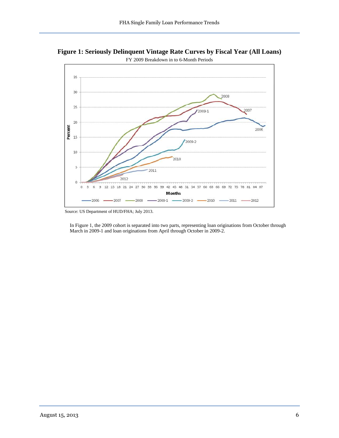<span id="page-6-0"></span>**Figure 1: Seriously Delinquent Vintage Rate Curves by Fiscal Year (All Loans)**



Source: US Department of HUD/FHA; July 2013.

In Figure 1, the 2009 cohort is separated into two parts, representing loan originations from October through March in 2009-1 and loan originations from April through October in 2009-2.